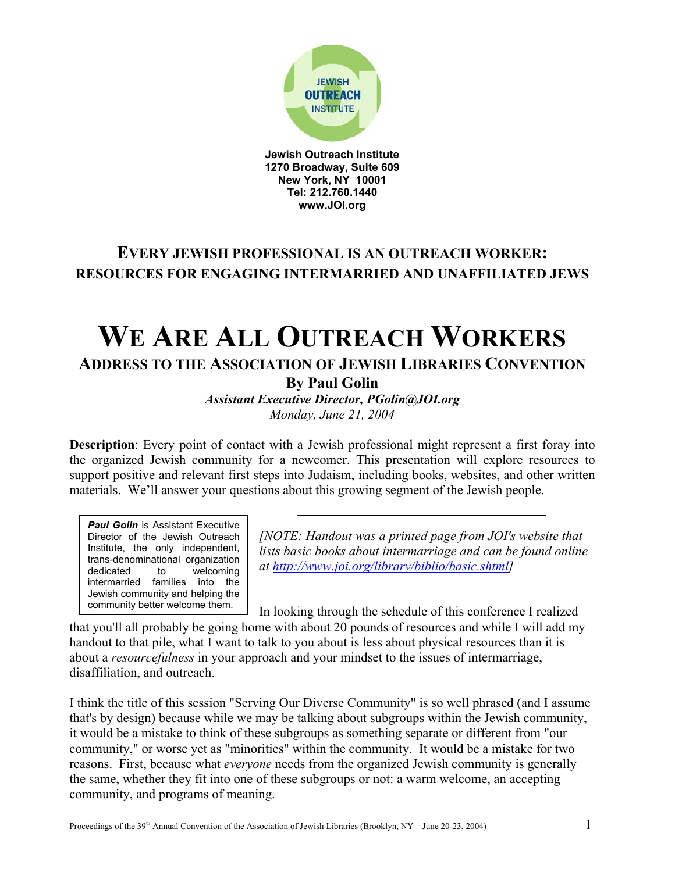

**Jewish Outreach Institute 1270 Broadway, Suite 609 New York, NY 10001 Tel: 212.760.1440 www.JOI.org**

## **EVERY JEWISH PROFESSIONAL IS AN OUTREACH WORKER: RESOURCES FOR ENGAGING INTERMARRIED AND UNAFFILIATED JEWS**

## **WE ARE ALL OUTREACH WORKERS ADDRESS TO THE ASSOCIATION OF JEWISH LIBRARIES CONVENTION**

**By Paul Golin** 

*Assistant Executive Director, PGolin@JOI.org Monday, June 21, 2004* 

**Description**: Every point of contact with a Jewish professional might represent a first foray into the organized Jewish community for a newcomer. This presentation will explore resources to support positive and relevant first steps into Judaism, including books, websites, and other written materials. We'll answer your questions about this growing segment of the Jewish people.

**Paul Golin** is Assistant Executive Director of the Jewish Outreach Institute, the only independent, trans-denominational organization dedicated to welcoming intermarried families into the Jewish community and helping the community better welcome them.

*[NOTE: Handout was a printed page from JOI's website that lists basic books about intermarriage and can be found online at [http://www.joi.org/library/biblio/basic.shtml\]](http://www.joi.org/library/biblio/basic.shtml)* 

In looking through the schedule of this conference I realized that you'll all probably be going home with about 20 pounds of resources and while I will add my handout to that pile, what I want to talk to you about is less about physical resources than it is about a *resourcefulness* in your approach and your mindset to the issues of intermarriage, disaffiliation, and outreach.

I think the title of this session "Serving Our Diverse Community" is so well phrased (and I assume that's by design) because while we may be talking about subgroups within the Jewish community, it would be a mistake to think of these subgroups as something separate or different from "our community," or worse yet as "minorities" within the community. It would be a mistake for two reasons. First, because what *everyone* needs from the organized Jewish community is generally the same, whether they fit into one of these subgroups or not: a warm welcome, an accepting community, and programs of meaning.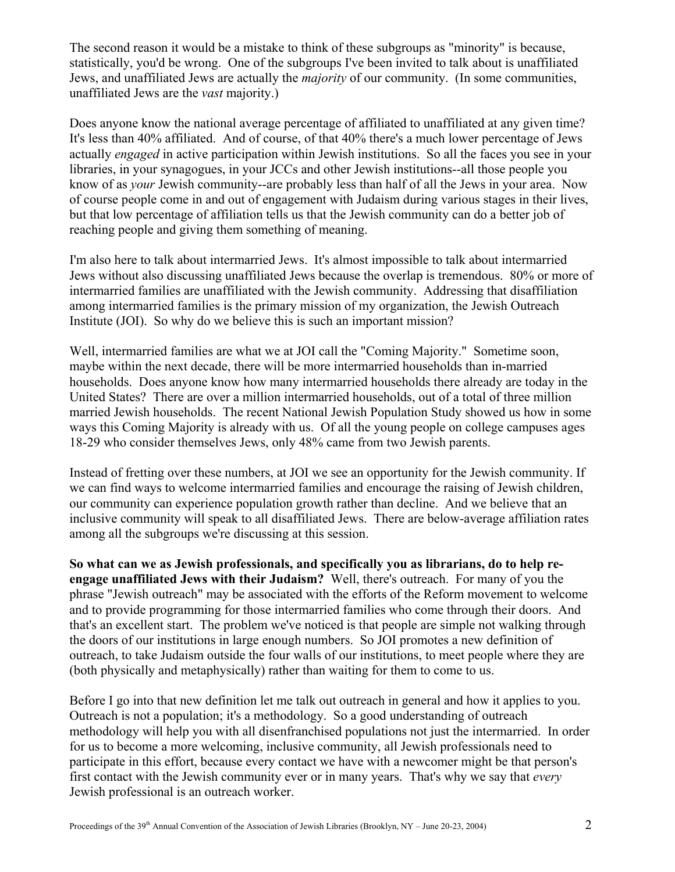The second reason it would be a mistake to think of these subgroups as "minority" is because, statistically, you'd be wrong. One of the subgroups I've been invited to talk about is unaffiliated Jews, and unaffiliated Jews are actually the *majority* of our community. (In some communities, unaffiliated Jews are the *vast* majority.)

Does anyone know the national average percentage of affiliated to unaffiliated at any given time? It's less than 40% affiliated. And of course, of that 40% there's a much lower percentage of Jews actually *engaged* in active participation within Jewish institutions. So all the faces you see in your libraries, in your synagogues, in your JCCs and other Jewish institutions--all those people you know of as *your* Jewish community--are probably less than half of all the Jews in your area. Now of course people come in and out of engagement with Judaism during various stages in their lives, but that low percentage of affiliation tells us that the Jewish community can do a better job of reaching people and giving them something of meaning.

I'm also here to talk about intermarried Jews. It's almost impossible to talk about intermarried Jews without also discussing unaffiliated Jews because the overlap is tremendous. 80% or more of intermarried families are unaffiliated with the Jewish community. Addressing that disaffiliation among intermarried families is the primary mission of my organization, the Jewish Outreach Institute (JOI). So why do we believe this is such an important mission?

Well, intermarried families are what we at JOI call the "Coming Majority." Sometime soon, maybe within the next decade, there will be more intermarried households than in-married households. Does anyone know how many intermarried households there already are today in the United States? There are over a million intermarried households, out of a total of three million married Jewish households. The recent National Jewish Population Study showed us how in some ways this Coming Majority is already with us. Of all the young people on college campuses ages 18-29 who consider themselves Jews, only 48% came from two Jewish parents.

Instead of fretting over these numbers, at JOI we see an opportunity for the Jewish community. If we can find ways to welcome intermarried families and encourage the raising of Jewish children, our community can experience population growth rather than decline. And we believe that an inclusive community will speak to all disaffiliated Jews. There are below-average affiliation rates among all the subgroups we're discussing at this session.

**So what can we as Jewish professionals, and specifically you as librarians, do to help reengage unaffiliated Jews with their Judaism?** Well, there's outreach. For many of you the phrase "Jewish outreach" may be associated with the efforts of the Reform movement to welcome and to provide programming for those intermarried families who come through their doors. And that's an excellent start. The problem we've noticed is that people are simple not walking through the doors of our institutions in large enough numbers. So JOI promotes a new definition of outreach, to take Judaism outside the four walls of our institutions, to meet people where they are (both physically and metaphysically) rather than waiting for them to come to us.

Before I go into that new definition let me talk out outreach in general and how it applies to you. Outreach is not a population; it's a methodology. So a good understanding of outreach methodology will help you with all disenfranchised populations not just the intermarried. In order for us to become a more welcoming, inclusive community, all Jewish professionals need to participate in this effort, because every contact we have with a newcomer might be that person's first contact with the Jewish community ever or in many years. That's why we say that *every* Jewish professional is an outreach worker.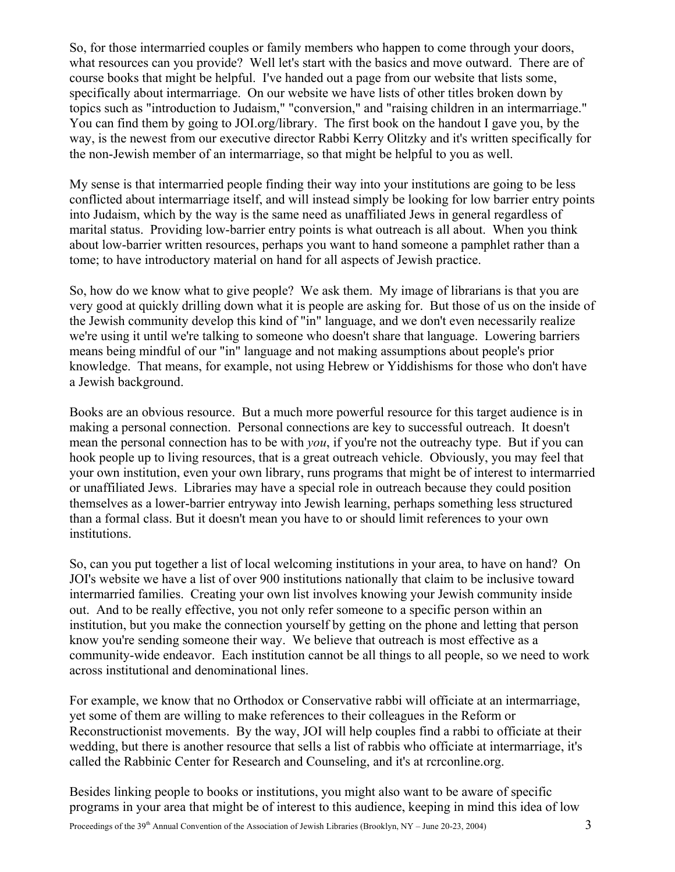So, for those intermarried couples or family members who happen to come through your doors, what resources can you provide? Well let's start with the basics and move outward. There are of course books that might be helpful. I've handed out a page from our website that lists some, specifically about intermarriage. On our website we have lists of other titles broken down by topics such as "introduction to Judaism," "conversion," and "raising children in an intermarriage." You can find them by going to JOI.org/library. The first book on the handout I gave you, by the way, is the newest from our executive director Rabbi Kerry Olitzky and it's written specifically for the non-Jewish member of an intermarriage, so that might be helpful to you as well.

My sense is that intermarried people finding their way into your institutions are going to be less conflicted about intermarriage itself, and will instead simply be looking for low barrier entry points into Judaism, which by the way is the same need as unaffiliated Jews in general regardless of marital status. Providing low-barrier entry points is what outreach is all about. When you think about low-barrier written resources, perhaps you want to hand someone a pamphlet rather than a tome; to have introductory material on hand for all aspects of Jewish practice.

So, how do we know what to give people? We ask them. My image of librarians is that you are very good at quickly drilling down what it is people are asking for. But those of us on the inside of the Jewish community develop this kind of "in" language, and we don't even necessarily realize we're using it until we're talking to someone who doesn't share that language. Lowering barriers means being mindful of our "in" language and not making assumptions about people's prior knowledge. That means, for example, not using Hebrew or Yiddishisms for those who don't have a Jewish background.

Books are an obvious resource. But a much more powerful resource for this target audience is in making a personal connection. Personal connections are key to successful outreach. It doesn't mean the personal connection has to be with *you*, if you're not the outreachy type. But if you can hook people up to living resources, that is a great outreach vehicle. Obviously, you may feel that your own institution, even your own library, runs programs that might be of interest to intermarried or unaffiliated Jews. Libraries may have a special role in outreach because they could position themselves as a lower-barrier entryway into Jewish learning, perhaps something less structured than a formal class. But it doesn't mean you have to or should limit references to your own institutions.

So, can you put together a list of local welcoming institutions in your area, to have on hand? On JOI's website we have a list of over 900 institutions nationally that claim to be inclusive toward intermarried families. Creating your own list involves knowing your Jewish community inside out. And to be really effective, you not only refer someone to a specific person within an institution, but you make the connection yourself by getting on the phone and letting that person know you're sending someone their way. We believe that outreach is most effective as a community-wide endeavor. Each institution cannot be all things to all people, so we need to work across institutional and denominational lines.

For example, we know that no Orthodox or Conservative rabbi will officiate at an intermarriage, yet some of them are willing to make references to their colleagues in the Reform or Reconstructionist movements. By the way, JOI will help couples find a rabbi to officiate at their wedding, but there is another resource that sells a list of rabbis who officiate at intermarriage, it's called the Rabbinic Center for Research and Counseling, and it's at rcrconline.org.

Besides linking people to books or institutions, you might also want to be aware of specific programs in your area that might be of interest to this audience, keeping in mind this idea of low